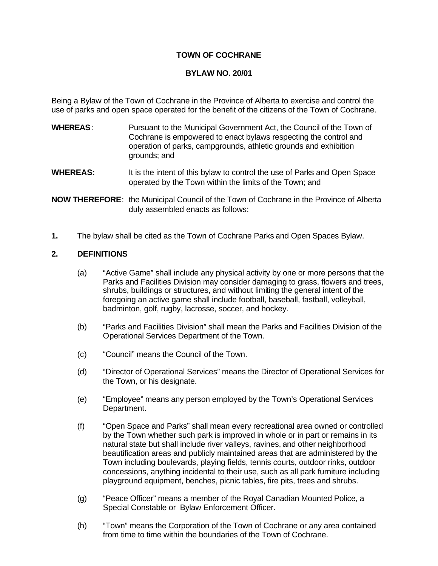#### **TOWN OF COCHRANE**

#### **BYLAW NO. 20/01**

Being a Bylaw of the Town of Cochrane in the Province of Alberta to exercise and control the use of parks and open space operated for the benefit of the citizens of the Town of Cochrane.

- **WHEREAS**: Pursuant to the Municipal Government Act, the Council of the Town of Cochrane is empowered to enact bylaws respecting the control and operation of parks, campgrounds, athletic grounds and exhibition grounds; and
- **WHEREAS:** It is the intent of this bylaw to control the use of Parks and Open Space operated by the Town within the limits of the Town; and

**NOW THEREFORE**: the Municipal Council of the Town of Cochrane in the Province of Alberta duly assembled enacts as follows:

**1.** The bylaw shall be cited as the Town of Cochrane Parks and Open Spaces Bylaw.

#### **2. DEFINITIONS**

- (a) "Active Game" shall include any physical activity by one or more persons that the Parks and Facilities Division may consider damaging to grass, flowers and trees, shrubs, buildings or structures, and without limiting the general intent of the foregoing an active game shall include football, baseball, fastball, volleyball, badminton, golf, rugby, lacrosse, soccer, and hockey.
- (b) "Parks and Facilities Division" shall mean the Parks and Facilities Division of the Operational Services Department of the Town.
- (c) "Council" means the Council of the Town.
- (d) "Director of Operational Services" means the Director of Operational Services for the Town, or his designate.
- (e) "Employee" means any person employed by the Town's Operational Services Department.
- (f) "Open Space and Parks" shall mean every recreational area owned or controlled by the Town whether such park is improved in whole or in part or remains in its natural state but shall include river valleys, ravines, and other neighborhood beautification areas and publicly maintained areas that are administered by the Town including boulevards, playing fields, tennis courts, outdoor rinks, outdoor concessions, anything incidental to their use, such as all park furniture including playground equipment, benches, picnic tables, fire pits, trees and shrubs.
- (g) "Peace Officer" means a member of the Royal Canadian Mounted Police, a Special Constable or Bylaw Enforcement Officer.
- (h) "Town" means the Corporation of the Town of Cochrane or any area contained from time to time within the boundaries of the Town of Cochrane.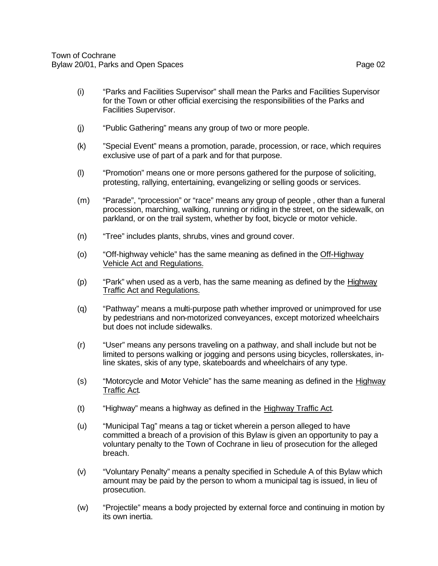- (i) "Parks and Facilities Supervisor" shall mean the Parks and Facilities Supervisor for the Town or other official exercising the responsibilities of the Parks and Facilities Supervisor.
- (j) "Public Gathering" means any group of two or more people.
- (k) "Special Event" means a promotion, parade, procession, or race, which requires exclusive use of part of a park and for that purpose.
- (l) "Promotion" means one or more persons gathered for the purpose of soliciting, protesting, rallying, entertaining, evangelizing or selling goods or services.
- (m) "Parade", "procession" or "race" means any group of people , other than a funeral procession, marching, walking, running or riding in the street, on the sidewalk, on parkland, or on the trail system, whether by foot, bicycle or motor vehicle.
- (n) "Tree" includes plants, shrubs, vines and ground cover.
- (o) "Off-highway vehicle" has the same meaning as defined in the Off-Highway Vehicle Act and Regulations.
- (p) "Park" when used as a verb, has the same meaning as defined by the Highway Traffic Act and Regulations.
- (q) "Pathway" means a multi-purpose path whether improved or unimproved for use by pedestrians and non-motorized conveyances, except motorized wheelchairs but does not include sidewalks.
- (r) "User" means any persons traveling on a pathway, and shall include but not be limited to persons walking or jogging and persons using bicycles, rollerskates, inline skates, skis of any type, skateboards and wheelchairs of any type.
- (s) "Motorcycle and Motor Vehicle" has the same meaning as defined in the Highway Traffic Act.
- (t) "Highway" means a highway as defined in the Highway Traffic Act.
- (u) "Municipal Tag" means a tag or ticket wherein a person alleged to have committed a breach of a provision of this Bylaw is given an opportunity to pay a voluntary penalty to the Town of Cochrane in lieu of prosecution for the alleged breach.
- (v) "Voluntary Penalty" means a penalty specified in Schedule A of this Bylaw which amount may be paid by the person to whom a municipal tag is issued, in lieu of prosecution.
- (w) "Projectile" means a body projected by external force and continuing in motion by its own inertia.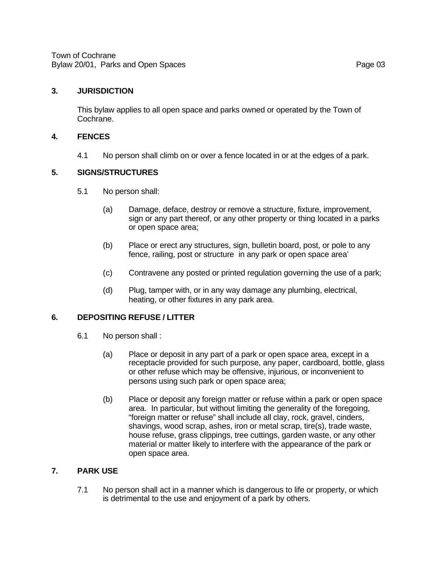Town of Cochrane Bylaw 20/01, Parks and Open Spaces **Page 03 Page 03** 

#### **3. JURISDICTION**

This bylaw applies to all open space and parks owned or operated by the Town of Cochrane.

#### **4. FENCES**

4.1 No person shall climb on or over a fence located in or at the edges of a park.

#### **5. SIGNS/STRUCTURES**

- 5.1 No person shall:
	- (a) Damage, deface, destroy or remove a structure, fixture, improvement, sign or any part thereof, or any other property or thing located in a parks or open space area;
	- (b) Place or erect any structures, sign, bulletin board, post, or pole to any fence, railing, post or structure in any park or open space area'
	- (c) Contravene any posted or printed regulation governing the use of a park;
	- (d) Plug, tamper with, or in any way damage any plumbing, electrical, heating, or other fixtures in any park area.

#### **6. DEPOSITING REFUSE / LITTER**

- 6.1 No person shall :
	- (a) Place or deposit in any part of a park or open space area, except in a receptacle provided for such purpose, any paper, cardboard, bottle, glass or other refuse which may be offensive, injurious, or inconvenient to persons using such park or open space area;
	- (b) Place or deposit any foreign matter or refuse within a park or open space area. In particular, but without limiting the generality of the foregoing, "foreign matter or refuse" shall include all clay, rock, gravel, cinders, shavings, wood scrap, ashes, iron or metal scrap, tire(s), trade waste, house refuse, grass clippings, tree cuttings, garden waste, or any other material or matter likely to interfere with the appearance of the park or open space area.

#### **7. PARK USE**

7.1 No person shall act in a manner which is dangerous to life or property, or which is detrimental to the use and enjoyment of a park by others.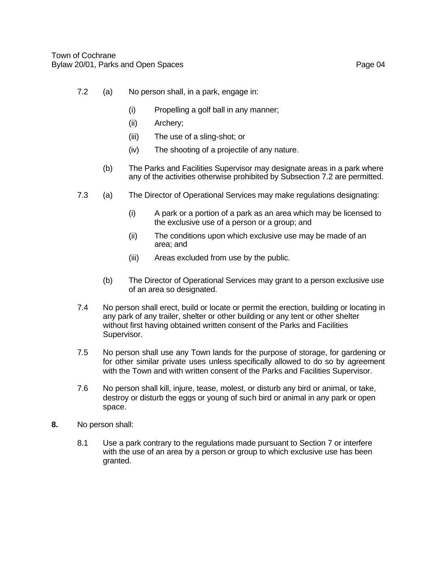- 7.2 (a) No person shall, in a park, engage in:
	- (i) Propelling a golf ball in any manner;
	- (ii) Archery;
	- (iii) The use of a sling-shot; or
	- (iv) The shooting of a projectile of any nature.
	- (b) The Parks and Facilities Supervisor may designate areas in a park where any of the activities otherwise prohibited by Subsection 7.2 are permitted.
- 7.3 (a) The Director of Operational Services may make regulations designating:
	- (i) A park or a portion of a park as an area which may be licensed to the exclusive use of a person or a group; and
	- (ii) The conditions upon which exclusive use may be made of an area; and
	- (iii) Areas excluded from use by the public.
	- (b) The Director of Operational Services may grant to a person exclusive use of an area so designated.
- 7.4 No person shall erect, build or locate or permit the erection, building or locating in any park of any trailer, shelter or other building or any tent or other shelter without first having obtained written consent of the Parks and Facilities Supervisor.
- 7.5 No person shall use any Town lands for the purpose of storage, for gardening or for other similar private uses unless specifically allowed to do so by agreement with the Town and with written consent of the Parks and Facilities Supervisor.
- 7.6 No person shall kill, injure, tease, molest, or disturb any bird or animal, or take, destroy or disturb the eggs or young of such bird or animal in any park or open space.
- **8.** No person shall:
	- 8.1 Use a park contrary to the regulations made pursuant to Section 7 or interfere with the use of an area by a person or group to which exclusive use has been granted.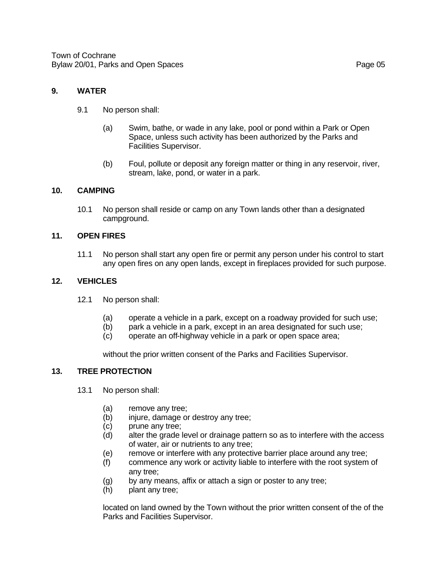#### **9. WATER**

- 9.1 No person shall:
	- (a) Swim, bathe, or wade in any lake, pool or pond within a Park or Open Space, unless such activity has been authorized by the Parks and Facilities Supervisor.
	- (b) Foul, pollute or deposit any foreign matter or thing in any reservoir, river, stream, lake, pond, or water in a park.

#### **10. CAMPING**

10.1 No person shall reside or camp on any Town lands other than a designated campground.

#### **11. OPEN FIRES**

11.1 No person shall start any open fire or permit any person under his control to start any open fires on any open lands, except in fireplaces provided for such purpose.

#### **12. VEHICLES**

- 12.1 No person shall:
	- (a) operate a vehicle in a park, except on a roadway provided for such use;
	- (b) park a vehicle in a park, except in an area designated for such use;
	- (c) operate an off-highway vehicle in a park or open space area;

without the prior written consent of the Parks and Facilities Supervisor.

#### **13. TREE PROTECTION**

- 13.1 No person shall:
	- (a) remove any tree;
	- (b) injure, damage or destroy any tree;
	- (c) prune any tree;
	- (d) alter the grade level or drainage pattern so as to interfere with the access of water, air or nutrients to any tree;
	- (e) remove or interfere with any protective barrier place around any tree;
	- (f) commence any work or activity liable to interfere with the root system of any tree;
	- (g) by any means, affix or attach a sign or poster to any tree;
	- (h) plant any tree;

located on land owned by the Town without the prior written consent of the of the Parks and Facilities Supervisor.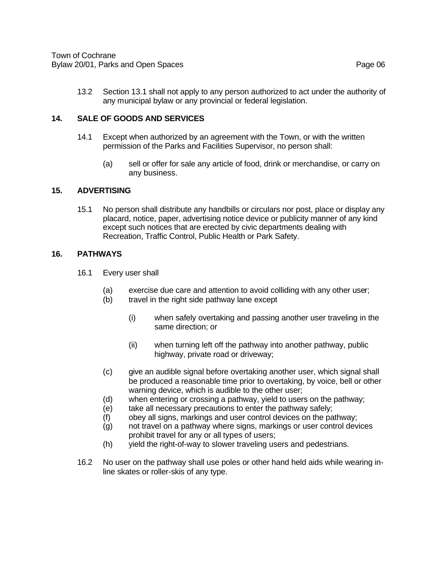13.2 Section 13.1 shall not apply to any person authorized to act under the authority of any municipal bylaw or any provincial or federal legislation.

#### **14. SALE OF GOODS AND SERVICES**

- 14.1 Except when authorized by an agreement with the Town, or with the written permission of the Parks and Facilities Supervisor, no person shall:
	- (a) sell or offer for sale any article of food, drink or merchandise, or carry on any business.

#### **15. ADVERTISING**

15.1 No person shall distribute any handbills or circulars nor post, place or display any placard, notice, paper, advertising notice device or publicity manner of any kind except such notices that are erected by civic departments dealing with Recreation, Traffic Control, Public Health or Park Safety.

#### **16. PATHWAYS**

- 16.1 Every user shall
	- (a) exercise due care and attention to avoid colliding with any other user;
	- (b) travel in the right side pathway lane except
		- (i) when safely overtaking and passing another user traveling in the same direction; or
		- (ii) when turning left off the pathway into another pathway, public highway, private road or driveway;
	- (c) give an audible signal before overtaking another user, which signal shall be produced a reasonable time prior to overtaking, by voice, bell or other warning device, which is audible to the other user;
	- (d) when entering or crossing a pathway, yield to users on the pathway;
	- (e) take all necessary precautions to enter the pathway safely;
	- (f) obey all signs, markings and user control devices on the pathway;
	- (g) not travel on a pathway where signs, markings or user control devices prohibit travel for any or all types of users;
	- (h) yield the right-of-way to slower traveling users and pedestrians.
- 16.2 No user on the pathway shall use poles or other hand held aids while wearing inline skates or roller-skis of any type.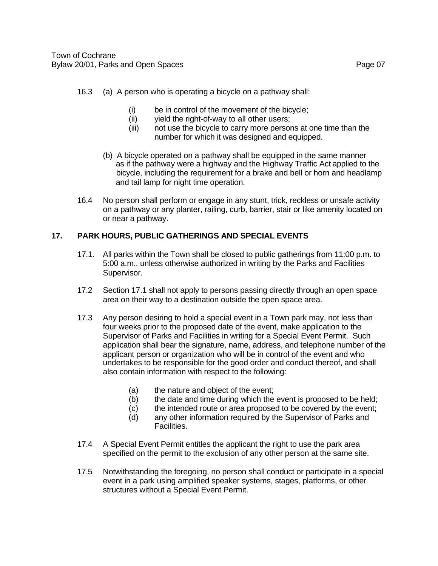- (i) be in control of the movement of the bicycle;
- (ii) yield the right-of-way to all other users;
- (iii) not use the bicycle to carry more persons at one time than the number for which it was designed and equipped.
- (b) A bicycle operated on a pathway shall be equipped in the same manner as if the pathway were a highway and the Highway Traffic Act applied to the bicycle, including the requirement for a brake and bell or horn and headlamp and tail lamp for night time operation.
- 16.4 No person shall perform or engage in any stunt, trick, reckless or unsafe activity on a pathway or any planter, railing, curb, barrier, stair or like amenity located on or near a pathway.

### **17. PARK HOURS, PUBLIC GATHERINGS AND SPECIAL EVENTS**

- 17.1. All parks within the Town shall be closed to public gatherings from 11:00 p.m. to 5:00 a.m., unless otherwise authorized in writing by the Parks and Facilities Supervisor.
- 17.2 Section 17.1 shall not apply to persons passing directly through an open space area on their way to a destination outside the open space area.
- 17.3 Any person desiring to hold a special event in a Town park may, not less than four weeks prior to the proposed date of the event, make application to the Supervisor of Parks and Facilities in writing for a Special Event Permit. Such application shall bear the signature, name, address, and telephone number of the applicant person or organization who will be in control of the event and who undertakes to be responsible for the good order and conduct thereof, and shall also contain information with respect to the following:
	- (a) the nature and object of the event;
	- (b) the date and time during which the event is proposed to be held;
	- (c) the intended route or area proposed to be covered by the event;
	- (d) any other information required by the Supervisor of Parks and Facilities.
- 17.4 A Special Event Permit entitles the applicant the right to use the park area specified on the permit to the exclusion of any other person at the same site.
- 17.5 Notwithstanding the foregoing, no person shall conduct or participate in a special event in a park using amplified speaker systems, stages, platforms, or other structures without a Special Event Permit.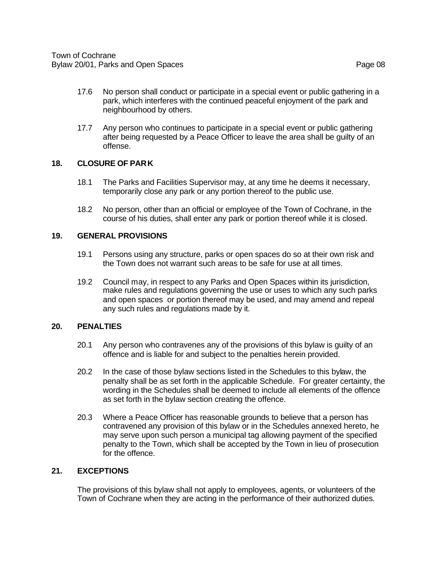- 17.6 No person shall conduct or participate in a special event or public gathering in a park, which interferes with the continued peaceful enjoyment of the park and neighbourhood by others.
- 17.7 Any person who continues to participate in a special event or public gathering after being requested by a Peace Officer to leave the area shall be guilty of an offense.

#### **18. CLOSURE OF PARK**

- 18.1 The Parks and Facilities Supervisor may, at any time he deems it necessary, temporarily close any park or any portion thereof to the public use.
- 18.2 No person, other than an official or employee of the Town of Cochrane, in the course of his duties, shall enter any park or portion thereof while it is closed.

#### **19. GENERAL PROVISIONS**

- 19.1 Persons using any structure, parks or open spaces do so at their own risk and the Town does not warrant such areas to be safe for use at all times.
- 19.2 Council may, in respect to any Parks and Open Spaces within its jurisdiction, make rules and regulations governing the use or uses to which any such parks and open spaces or portion thereof may be used, and may amend and repeal any such rules and regulations made by it.

#### **20. PENALTIES**

- 20.1 Any person who contravenes any of the provisions of this bylaw is guilty of an offence and is liable for and subject to the penalties herein provided.
- 20.2 In the case of those bylaw sections listed in the Schedules to this bylaw, the penalty shall be as set forth in the applicable Schedule. For greater certainty, the wording in the Schedules shall be deemed to include all elements of the offence as set forth in the bylaw section creating the offence.
- 20.3 Where a Peace Officer has reasonable grounds to believe that a person has contravened any provision of this bylaw or in the Schedules annexed hereto, he may serve upon such person a municipal tag allowing payment of the specified penalty to the Town, which shall be accepted by the Town in lieu of prosecution for the offence.

#### **21. EXCEPTIONS**

The provisions of this bylaw shall not apply to employees, agents, or volunteers of the Town of Cochrane when they are acting in the performance of their authorized duties.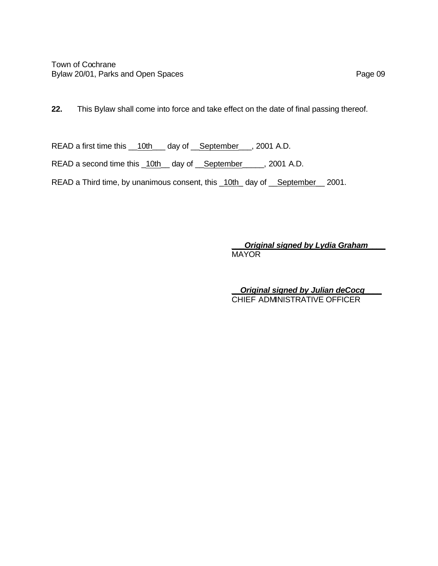Town of Cochrane Bylaw 20/01, Parks and Open Spaces **Page 09 Page 09** 

**22.** This Bylaw shall come into force and take effect on the date of final passing thereof.

READ a first time this \_\_10th\_\_\_ day of \_\_September\_\_\_, 2001 A.D.

READ a second time this \_10th\_ day of \_September\_\_\_, 2001 A.D.

READ a Third time, by unanimous consent, this \_10th\_ day of \_\_September \_\_ 2001.

*\_\_\_Original signed by Lydia Graham\_\_\_\_* MAYOR

*\_\_Original signed by Julian deCocq\_\_\_\_* CHIEF ADMINISTRATIVE OFFICER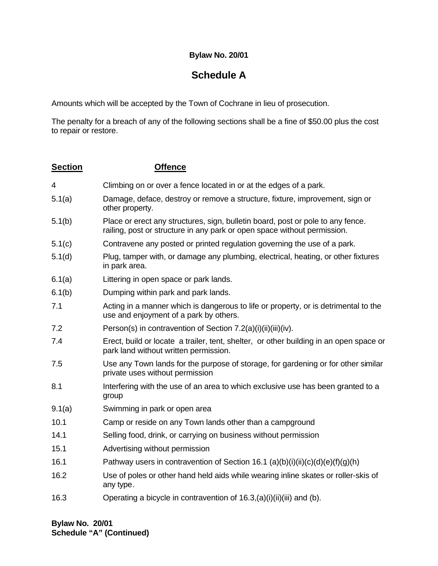#### **Bylaw No. 20/01**

## **Schedule A**

Amounts which will be accepted by the Town of Cochrane in lieu of prosecution.

The penalty for a breach of any of the following sections shall be a fine of \$50.00 plus the cost to repair or restore.

| <b>Section</b> | <b>Offence</b>                                                                                                                                              |
|----------------|-------------------------------------------------------------------------------------------------------------------------------------------------------------|
| 4              | Climbing on or over a fence located in or at the edges of a park.                                                                                           |
| 5.1(a)         | Damage, deface, destroy or remove a structure, fixture, improvement, sign or<br>other property.                                                             |
| 5.1(b)         | Place or erect any structures, sign, bulletin board, post or pole to any fence.<br>railing, post or structure in any park or open space without permission. |
| 5.1(c)         | Contravene any posted or printed regulation governing the use of a park.                                                                                    |
| 5.1(d)         | Plug, tamper with, or damage any plumbing, electrical, heating, or other fixtures<br>in park area.                                                          |
| 6.1(a)         | Littering in open space or park lands.                                                                                                                      |
| 6.1(b)         | Dumping within park and park lands.                                                                                                                         |
| 7.1            | Acting in a manner which is dangerous to life or property, or is detrimental to the<br>use and enjoyment of a park by others.                               |
| 7.2            | Person(s) in contravention of Section 7.2(a)(i)(ii)(iii)(iv).                                                                                               |
| 7.4            | Erect, build or locate a trailer, tent, shelter, or other building in an open space or<br>park land without written permission.                             |
| 7.5            | Use any Town lands for the purpose of storage, for gardening or for other similar<br>private uses without permission                                        |
| 8.1            | Interfering with the use of an area to which exclusive use has been granted to a<br>group                                                                   |
| 9.1(a)         | Swimming in park or open area                                                                                                                               |
| 10.1           | Camp or reside on any Town lands other than a campground                                                                                                    |
| 14.1           | Selling food, drink, or carrying on business without permission                                                                                             |
| 15.1           | Advertising without permission                                                                                                                              |
| 16.1           | Pathway users in contravention of Section 16.1 (a)(b)(i)(ii)(c)(d)(e)(f)(g)(h)                                                                              |
| 16.2           | Use of poles or other hand held aids while wearing inline skates or roller-skis of<br>any type.                                                             |
| 16.3           | Operating a bicycle in contravention of $16.3$ , (a)(i)(ii)(iii) and (b).                                                                                   |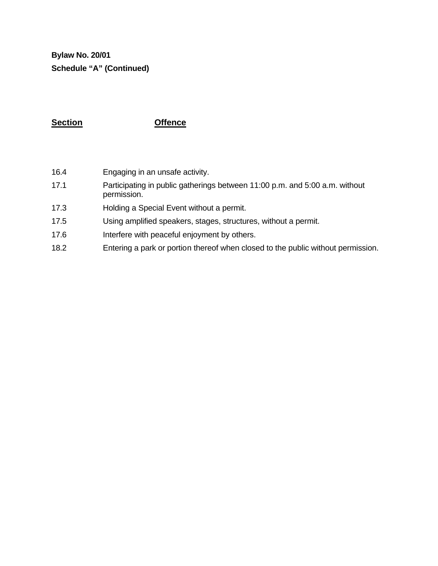**Bylaw No. 20/01 Schedule "A" (Continued)**

### **Section Offence**

- 16.4 Engaging in an unsafe activity.
- 17.1 Participating in public gatherings between 11:00 p.m. and 5:00 a.m. without permission.
- 17.3 Holding a Special Event without a permit.
- 17.5 Using amplified speakers, stages, structures, without a permit.
- 17.6 Interfere with peaceful enjoyment by others.
- 18.2 Entering a park or portion thereof when closed to the public without permission.